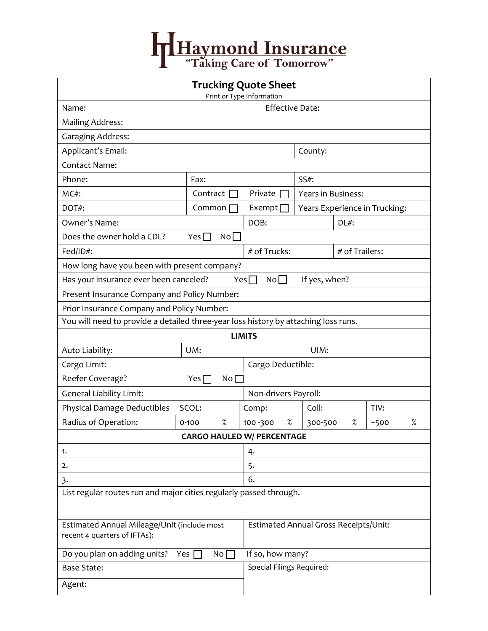## Haymond Insurance

| <b>Trucking Quote Sheet</b><br>Print or Type Information                            |                                       |                |                               |                |        |      |  |  |  |
|-------------------------------------------------------------------------------------|---------------------------------------|----------------|-------------------------------|----------------|--------|------|--|--|--|
| <b>Effective Date:</b><br>Name:                                                     |                                       |                |                               |                |        |      |  |  |  |
| <b>Mailing Address:</b>                                                             |                                       |                |                               |                |        |      |  |  |  |
| <b>Garaging Address:</b>                                                            |                                       |                |                               |                |        |      |  |  |  |
| Applicant's Email:                                                                  |                                       | County:        |                               |                |        |      |  |  |  |
| <b>Contact Name:</b>                                                                |                                       |                |                               |                |        |      |  |  |  |
| Phone:                                                                              | Fax:                                  | $SS#$ :        |                               |                |        |      |  |  |  |
| MC#:                                                                                | Contract                              | Private        | Years in Business:            |                |        |      |  |  |  |
| DOT#:                                                                               | Common                                | Exempt [       | Years Experience in Trucking: |                |        |      |  |  |  |
| Owner's Name:                                                                       |                                       | DOB:           | $DL#$ :                       |                |        |      |  |  |  |
| Does the owner hold a CDL?                                                          | No<br>Yes <sub>l</sub>                |                |                               |                |        |      |  |  |  |
| Fed/ID#:                                                                            | # of Trucks:                          |                |                               | # of Trailers: |        |      |  |  |  |
| How long have you been with present company?                                        |                                       |                |                               |                |        |      |  |  |  |
| Has your insurance ever been canceled?<br>No<br>Yes $\Box$<br>If yes, when?         |                                       |                |                               |                |        |      |  |  |  |
| Present Insurance Company and Policy Number:                                        |                                       |                |                               |                |        |      |  |  |  |
| Prior Insurance Company and Policy Number:                                          |                                       |                |                               |                |        |      |  |  |  |
| You will need to provide a detailed three-year loss history by attaching loss runs. |                                       |                |                               |                |        |      |  |  |  |
| <b>LIMITS</b>                                                                       |                                       |                |                               |                |        |      |  |  |  |
| Auto Liability:                                                                     | UM:                                   |                | UIM:                          |                |        |      |  |  |  |
| Cargo Limit:                                                                        | Cargo Deductible:                     |                |                               |                |        |      |  |  |  |
| Reefer Coverage?<br>Yes [<br>No <sub>1</sub>                                        |                                       |                |                               |                |        |      |  |  |  |
| <b>General Liability Limit:</b>                                                     | Non-drivers Payroll:                  |                |                               |                |        |      |  |  |  |
| Physical Damage Deductibles                                                         | SCOL:                                 | Comp:          | Coll:                         |                | TIV:   |      |  |  |  |
| Radius of Operation:                                                                | $\%$<br>$0 - 100$                     | %<br>100 - 300 | 300-500                       | %              | $+500$ | $\%$ |  |  |  |
|                                                                                     | <b>CARGO HAULED W/ PERCENTAGE</b>     |                |                               |                |        |      |  |  |  |
| 1.                                                                                  |                                       | 4.             |                               |                |        |      |  |  |  |
| 2.                                                                                  | 5.                                    |                |                               |                |        |      |  |  |  |
| 3.                                                                                  | 6.                                    |                |                               |                |        |      |  |  |  |
| List regular routes run and major cities regularly passed through.                  |                                       |                |                               |                |        |      |  |  |  |
| Estimated Annual Mileage/Unit (include most<br>recent 4 quarters of IFTAs):         | Estimated Annual Gross Receipts/Unit: |                |                               |                |        |      |  |  |  |
| Do you plan on adding units?<br>Yes                                                 | If so, how many?                      |                |                               |                |        |      |  |  |  |
| <b>Base State:</b>                                                                  | Special Filings Required:             |                |                               |                |        |      |  |  |  |
| Agent:                                                                              |                                       |                |                               |                |        |      |  |  |  |